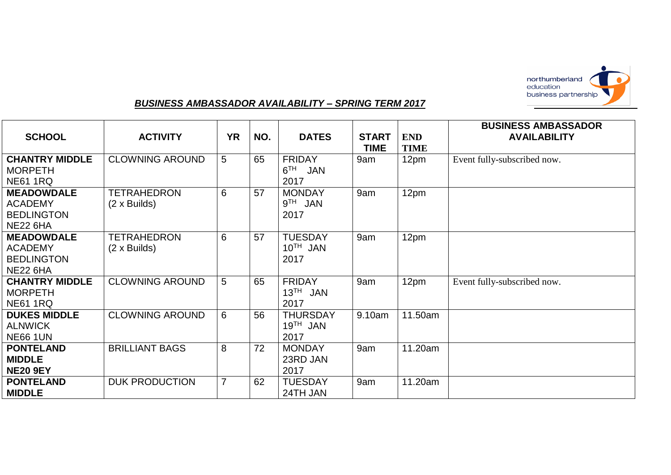

## *BUSINESS AMBASSADOR AVAILABILITY – SPRING TERM 2017*

| <b>SCHOOL</b>                                                               | <b>ACTIVITY</b>                           | <b>YR</b>      | NO. | <b>DATES</b>                                    | <b>START</b><br><b>TIME</b> | <b>END</b><br><b>TIME</b> | <b>BUSINESS AMBASSADOR</b><br><b>AVAILABILITY</b> |
|-----------------------------------------------------------------------------|-------------------------------------------|----------------|-----|-------------------------------------------------|-----------------------------|---------------------------|---------------------------------------------------|
| <b>CHANTRY MIDDLE</b><br><b>MORPETH</b><br><b>NE61 1RQ</b>                  | <b>CLOWNING AROUND</b>                    | 5              | 65  | <b>FRIDAY</b><br>6 <sup>TH</sup><br>JAN<br>2017 | 9am                         | 12pm                      | Event fully-subscribed now.                       |
| <b>MEADOWDALE</b><br><b>ACADEMY</b><br><b>BEDLINGTON</b><br><b>NE22 6HA</b> | <b>TETRAHEDRON</b><br>$(2 \times$ Builds) | 6              | 57  | <b>MONDAY</b><br>$9TH$ JAN<br>2017              | 9am                         | 12pm                      |                                                   |
| <b>MEADOWDALE</b><br><b>ACADEMY</b><br><b>BEDLINGTON</b><br><b>NE22 6HA</b> | <b>TETRAHEDRON</b><br>(2 x Builds)        | 6              | 57  | <b>TUESDAY</b><br>$10^{TH}$ JAN<br>2017         | 9am                         | 12pm                      |                                                   |
| <b>CHANTRY MIDDLE</b><br><b>MORPETH</b><br><b>NE61 1RQ</b>                  | <b>CLOWNING AROUND</b>                    | 5              | 65  | <b>FRIDAY</b><br>$13^{TH}$<br>JAN<br>2017       | 9am                         | 12pm                      | Event fully-subscribed now.                       |
| <b>DUKES MIDDLE</b><br><b>ALNWICK</b><br><b>NE66 1UN</b>                    | <b>CLOWNING AROUND</b>                    | 6              | 56  | <b>THURSDAY</b><br>$19TH$ JAN<br>2017           | 9.10am                      | 11.50am                   |                                                   |
| <b>PONTELAND</b><br><b>MIDDLE</b><br><b>NE20 9EY</b>                        | <b>BRILLIANT BAGS</b>                     | 8              | 72  | <b>MONDAY</b><br>23RD JAN<br>2017               | 9am                         | 11.20am                   |                                                   |
| <b>PONTELAND</b><br><b>MIDDLE</b>                                           | <b>DUK PRODUCTION</b>                     | $\overline{7}$ | 62  | <b>TUESDAY</b><br>24TH JAN                      | 9am                         | 11.20am                   |                                                   |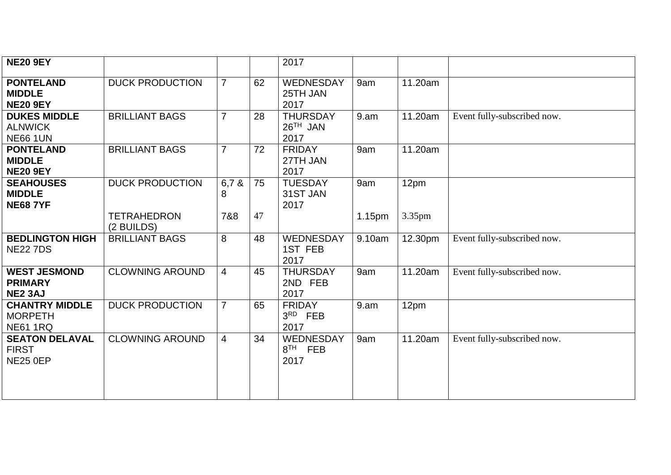| <b>NE20 9EY</b>                                            |                                  |                |    | 2017                                  |                   |         |                             |
|------------------------------------------------------------|----------------------------------|----------------|----|---------------------------------------|-------------------|---------|-----------------------------|
| <b>PONTELAND</b><br><b>MIDDLE</b><br><b>NE20 9EY</b>       | <b>DUCK PRODUCTION</b>           | $\overline{7}$ | 62 | WEDNESDAY<br>25TH JAN<br>2017         | 9am               | 11.20am |                             |
| <b>DUKES MIDDLE</b><br><b>ALNWICK</b><br><b>NE66 1UN</b>   | <b>BRILLIANT BAGS</b>            | $\overline{7}$ | 28 | <b>THURSDAY</b><br>$26TH$ JAN<br>2017 | 9. a <sub>m</sub> | 11.20am | Event fully-subscribed now. |
| <b>PONTELAND</b><br><b>MIDDLE</b><br><b>NE20 9EY</b>       | <b>BRILLIANT BAGS</b>            | $\overline{7}$ | 72 | <b>FRIDAY</b><br>27TH JAN<br>2017     | 9am               | 11.20am |                             |
| <b>SEAHOUSES</b><br><b>MIDDLE</b><br><b>NE68 7YF</b>       | <b>DUCK PRODUCTION</b>           | 6,78<br>8      | 75 | <b>TUESDAY</b><br>31ST JAN<br>2017    | 9am               | 12pm    |                             |
|                                                            | <b>TETRAHEDRON</b><br>(2 BUILDS) | 7&8            | 47 |                                       | 1.15pm            | 3.35pm  |                             |
| <b>BEDLINGTON HIGH</b><br><b>NE22 7DS</b>                  | <b>BRILLIANT BAGS</b>            | 8              | 48 | WEDNESDAY<br>1ST FEB<br>2017          | 9.10am            | 12.30pm | Event fully-subscribed now. |
| <b>WEST JESMOND</b><br><b>PRIMARY</b><br><b>NE2 3AJ</b>    | <b>CLOWNING AROUND</b>           | 4              | 45 | <b>THURSDAY</b><br>2ND FEB<br>2017    | 9am               | 11.20am | Event fully-subscribed now. |
| <b>CHANTRY MIDDLE</b><br><b>MORPETH</b><br><b>NE61 1RQ</b> | <b>DUCK PRODUCTION</b>           | $\overline{7}$ | 65 | <b>FRIDAY</b><br>$3RD$ FEB<br>2017    | 9.am              | 12pm    |                             |
| <b>SEATON DELAVAL</b><br><b>FIRST</b><br><b>NE25 0EP</b>   | <b>CLOWNING AROUND</b>           | $\overline{4}$ | 34 | WEDNESDAY<br>$8TH$ FEB<br>2017        | 9am               | 11.20am | Event fully-subscribed now. |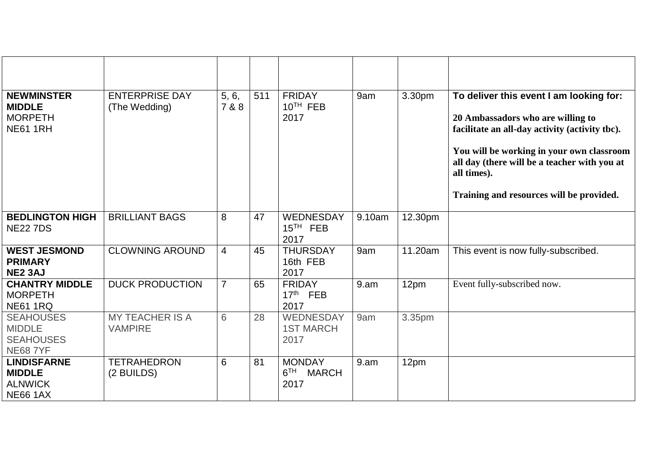| <b>NEWMINSTER</b><br><b>MIDDLE</b><br><b>MORPETH</b><br><b>NE61 1RH</b>  | <b>ENTERPRISE DAY</b><br>(The Wedding)   | 5, 6,<br>7 & 8 | 511 | <b>FRIDAY</b><br>10 <sup>TH</sup> FEB<br>2017            | 9am    | 3.30pm  | To deliver this event I am looking for:<br>20 Ambassadors who are willing to<br>facilitate an all-day activity (activity tbc).<br>You will be working in your own classroom<br>all day (there will be a teacher with you at<br>all times).<br>Training and resources will be provided. |
|--------------------------------------------------------------------------|------------------------------------------|----------------|-----|----------------------------------------------------------|--------|---------|----------------------------------------------------------------------------------------------------------------------------------------------------------------------------------------------------------------------------------------------------------------------------------------|
| <b>BEDLINGTON HIGH</b><br><b>NE227DS</b>                                 | <b>BRILLIANT BAGS</b>                    | 8              | 47  | WEDNESDAY<br>$15TH$ FEB<br>2017                          | 9.10am | 12.30pm |                                                                                                                                                                                                                                                                                        |
| <b>WEST JESMOND</b><br><b>PRIMARY</b><br><b>NE2 3AJ</b>                  | <b>CLOWNING AROUND</b>                   | $\overline{4}$ | 45  | <b>THURSDAY</b><br>16th FEB<br>2017                      | 9am    | 11.20am | This event is now fully-subscribed.                                                                                                                                                                                                                                                    |
| <b>CHANTRY MIDDLE</b><br><b>MORPETH</b><br><b>NE61 1RQ</b>               | <b>DUCK PRODUCTION</b>                   | $\overline{7}$ | 65  | <b>FRIDAY</b><br>17 <sup>th</sup> FEB<br>2017            | 9.am   | 12pm    | Event fully-subscribed now.                                                                                                                                                                                                                                                            |
| <b>SEAHOUSES</b><br><b>MIDDLE</b><br><b>SEAHOUSES</b><br><b>NE68 7YF</b> | <b>MY TEACHER IS A</b><br><b>VAMPIRE</b> | 6              | 28  | WEDNESDAY<br><b>1ST MARCH</b><br>2017                    | 9am    | 3.35pm  |                                                                                                                                                                                                                                                                                        |
| <b>LINDISFARNE</b><br><b>MIDDLE</b><br><b>ALNWICK</b><br><b>NE66 1AX</b> | <b>TETRAHEDRON</b><br>(2 BUILDS)         | 6              | 81  | <b>MONDAY</b><br>6 <sup>TH</sup><br><b>MARCH</b><br>2017 | 9.am   | 12pm    |                                                                                                                                                                                                                                                                                        |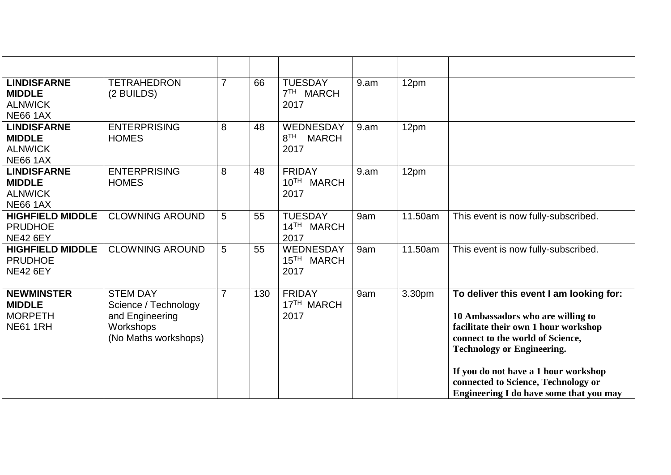| <b>LINDISFARNE</b><br><b>MIDDLE</b><br><b>ALNWICK</b><br><b>NE66 1AX</b> | <b>TETRAHEDRON</b><br>(2 BUILDS)                                                                | $\overline{7}$ | 66  | <b>TUESDAY</b><br>7 <sup>TH</sup><br>MARCH<br>2017   | 9.am | 12pm    |                                                                                                                                                                                                                                                                                                                         |
|--------------------------------------------------------------------------|-------------------------------------------------------------------------------------------------|----------------|-----|------------------------------------------------------|------|---------|-------------------------------------------------------------------------------------------------------------------------------------------------------------------------------------------------------------------------------------------------------------------------------------------------------------------------|
| <b>LINDISFARNE</b><br><b>MIDDLE</b><br><b>ALNWICK</b><br><b>NE66 1AX</b> | <b>ENTERPRISING</b><br><b>HOMES</b>                                                             | 8              | 48  | WEDNESDAY<br>8 <sup>TH</sup><br><b>MARCH</b><br>2017 | 9.am | 12pm    |                                                                                                                                                                                                                                                                                                                         |
| <b>LINDISFARNE</b><br><b>MIDDLE</b><br><b>ALNWICK</b><br><b>NE66 1AX</b> | <b>ENTERPRISING</b><br><b>HOMES</b>                                                             | 8              | 48  | <b>FRIDAY</b><br>10TH MARCH<br>2017                  | 9.am | 12pm    |                                                                                                                                                                                                                                                                                                                         |
| <b>HIGHFIELD MIDDLE</b><br><b>PRUDHOE</b><br><b>NE42 6EY</b>             | <b>CLOWNING AROUND</b>                                                                          | 5              | 55  | <b>TUESDAY</b><br>14TH MARCH<br>2017                 | 9am  | 11.50am | This event is now fully-subscribed.                                                                                                                                                                                                                                                                                     |
| <b>HIGHFIELD MIDDLE</b><br><b>PRUDHOE</b><br><b>NE42 6EY</b>             | <b>CLOWNING AROUND</b>                                                                          | 5              | 55  | WEDNESDAY<br>15 <sup>TH</sup> MARCH<br>2017          | 9am  | 11.50am | This event is now fully-subscribed.                                                                                                                                                                                                                                                                                     |
| <b>NEWMINSTER</b><br><b>MIDDLE</b><br><b>MORPETH</b><br><b>NE61 1RH</b>  | <b>STEM DAY</b><br>Science / Technology<br>and Engineering<br>Workshops<br>(No Maths workshops) | $\overline{7}$ | 130 | <b>FRIDAY</b><br>17 <sup>TH</sup> MARCH<br>2017      | 9am  | 3.30pm  | To deliver this event I am looking for:<br>10 Ambassadors who are willing to<br>facilitate their own 1 hour workshop<br>connect to the world of Science,<br><b>Technology or Engineering.</b><br>If you do not have a 1 hour workshop<br>connected to Science, Technology or<br>Engineering I do have some that you may |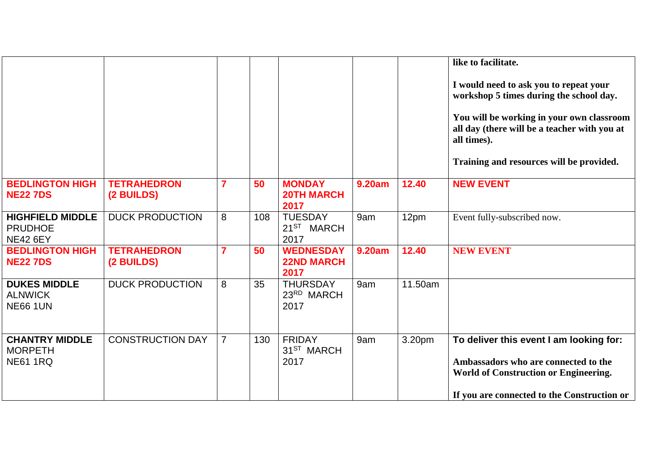|                                                              |                                  |                |     |                                                  |               |         | like to facilitate.<br>I would need to ask you to repeat your<br>workshop 5 times during the school day.<br>You will be working in your own classroom<br>all day (there will be a teacher with you at<br>all times).<br>Training and resources will be provided. |
|--------------------------------------------------------------|----------------------------------|----------------|-----|--------------------------------------------------|---------------|---------|------------------------------------------------------------------------------------------------------------------------------------------------------------------------------------------------------------------------------------------------------------------|
| <b>BEDLINGTON HIGH</b><br><b>NE22 7DS</b>                    | <b>TETRAHEDRON</b><br>(2 BUILDS) | 7              | 50  | <b>MONDAY</b><br><b>20TH MARCH</b><br>2017       | <b>9.20am</b> | 12.40   | <b>NEW EVENT</b>                                                                                                                                                                                                                                                 |
| <b>HIGHFIELD MIDDLE</b><br><b>PRUDHOE</b><br><b>NE42 6EY</b> | <b>DUCK PRODUCTION</b>           | 8              | 108 | <b>TUESDAY</b><br>21 <sup>ST</sup> MARCH<br>2017 | 9am           | 12pm    | Event fully-subscribed now.                                                                                                                                                                                                                                      |
| <b>BEDLINGTON HIGH</b><br><b>NE22 7DS</b>                    | <b>TETRAHEDRON</b><br>(2 BUILDS) | 7              | 50  | <b>WEDNESDAY</b><br><b>22ND MARCH</b><br>2017    | <b>9.20am</b> | 12.40   | <b>NEW EVENT</b>                                                                                                                                                                                                                                                 |
| <b>DUKES MIDDLE</b><br><b>ALNWICK</b><br><b>NE66 1UN</b>     | <b>DUCK PRODUCTION</b>           | 8              | 35  | <b>THURSDAY</b><br>23RD MARCH<br>2017            | 9am           | 11.50am |                                                                                                                                                                                                                                                                  |
| <b>CHANTRY MIDDLE</b><br><b>MORPETH</b><br><b>NE61 1RQ</b>   | <b>CONSTRUCTION DAY</b>          | $\overline{7}$ | 130 | <b>FRIDAY</b><br>31 <sup>ST</sup> MARCH<br>2017  | 9am           | 3.20pm  | To deliver this event I am looking for:<br>Ambassadors who are connected to the<br>World of Construction or Engineering.<br>If you are connected to the Construction or                                                                                          |